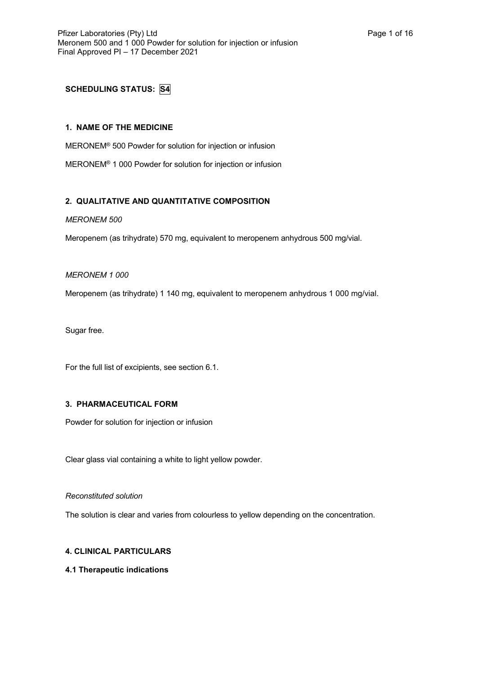# **SCHEDULING STATUS: S4**

## **1. NAME OF THE MEDICINE**

MERONEM® 500 Powder for solution for injection or infusion

MERONEM® 1 000 Powder for solution for injection or infusion

## **2. QUALITATIVE AND QUANTITATIVE COMPOSITION**

### *MERONEM 500*

Meropenem (as trihydrate) 570 mg, equivalent to meropenem anhydrous 500 mg/vial.

### *MERONEM 1 000*

Meropenem (as trihydrate) 1 140 mg, equivalent to meropenem anhydrous 1 000 mg/vial.

Sugar free.

For the full list of excipients, see section 6.1.

## **3. PHARMACEUTICAL FORM**

Powder for solution for injection or infusion

Clear glass vial containing a white to light yellow powder.

### *Reconstituted solution*

The solution is clear and varies from colourless to yellow depending on the concentration.

## **4. CLINICAL PARTICULARS**

### **4.1 Therapeutic indications**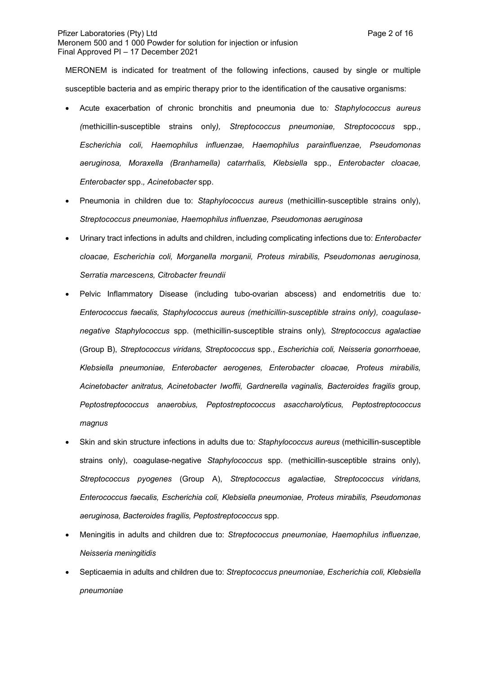MERONEM is indicated for treatment of the following infections, caused by single or multiple susceptible bacteria and as empiric therapy prior to the identification of the causative organisms:

- Acute exacerbation of chronic bronchitis and pneumonia due to*: Staphylococcus aureus (*methicillin-susceptible strains only*), Streptococcus pneumoniae, Streptococcus* spp., *Escherichia coli, Haemophilus influenzae, Haemophilus parainfluenzae, Pseudomonas aeruginosa, Moraxella (Branhamella) catarrhalis, Klebsiella* spp., *Enterobacter cloacae, Enterobacter* spp.*, Acinetobacter* spp.
- Pneumonia in children due to: *Staphylococcus aureus* (methicillin-susceptible strains only), *Streptococcus pneumoniae, Haemophilus influenzae, Pseudomonas aeruginosa*
- Urinary tract infections in adults and children, including complicating infections due to: *Enterobacter cloacae, Escherichia coli, Morganella morganii, Proteus mirabilis, Pseudomonas aeruginosa, Serratia marcescens, Citrobacter freundii*
- Pelvic Inflammatory Disease (including tubo-ovarian abscess) and endometritis due to*: Enterococcus faecalis, Staphylococcus aureus (methicillin-susceptible strains only), coagulasenegative Staphylococcus* spp. (methicillin-susceptible strains only)*, Streptococcus agalactiae*  (Group B), *Streptococcus viridans, Streptococcus* spp., *Escherichia coli, Neisseria gonorrhoeae, Klebsiella pneumoniae, Enterobacter aerogenes, Enterobacter cloacae, Proteus mirabilis, Acinetobacter anitratus, Acinetobacter Iwoffii, Gardnerella vaginalis, Bacteroides fragilis* group*, Peptostreptococcus anaerobius, Peptostreptococcus asaccharolyticus, Peptostreptococcus magnus*
- Skin and skin structure infections in adults due to*: Staphylococcus aureus* (methicillin-susceptible strains only), coagulase-negative *Staphylococcus* spp. (methicillin-susceptible strains only), *Streptococcus pyogenes* (Group A), *Streptococcus agalactiae, Streptococcus viridans, Enterococcus faecalis, Escherichia coli, Klebsiella pneumoniae, Proteus mirabilis, Pseudomonas aeruginosa, Bacteroides fragilis, Peptostreptococcus* spp.
- Meningitis in adults and children due to: *Streptococcus pneumoniae, Haemophilus influenzae, Neisseria meningitidis*
- Septicaemia in adults and children due to: *Streptococcus pneumoniae, Escherichia coli, Klebsiella pneumoniae*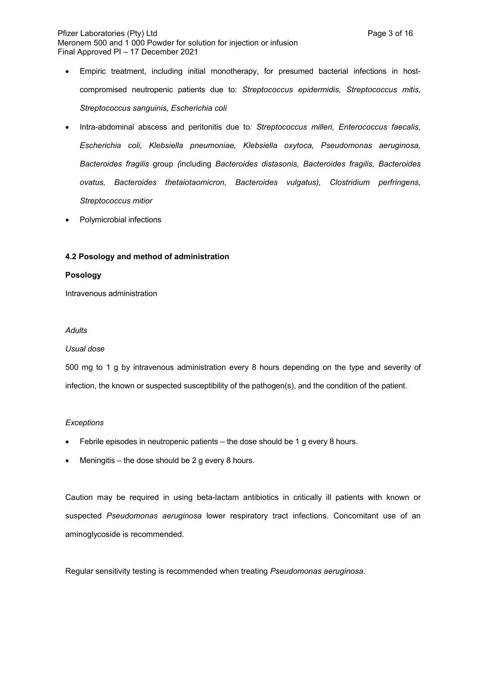- Empiric treatment, including initial monotherapy, for presumed bacterial infections in hostcompromised neutropenic patients due to: *Streptococcus epidermidis, Streptococcus mitis, Streptococcus sanguinis, Escherichia coli*
- Intra-abdominal abscess and peritonitis due to*: Streptococcus milleri, Enterococcus faecalis, Escherichia coli, Klebsiella pneumoniae, Klebsiella oxytoca, Pseudomonas aeruginosa, Bacteroides fragilis* group *(*including *Bacteroides distasonis, Bacteroides fragilis, Bacteroides ovatus, Bacteroides thetaiotaomicron, Bacteroides vulgatus), Clostridium perfringens, Streptococcus mitior*
- Polymicrobial infections

## **4.2 Posology and method of administration**

### **Posology**

Intravenous administration

### *Adults*

### *Usual dose*

500 mg to 1 g by intravenous administration every 8 hours depending on the type and severity of infection, the known or suspected susceptibility of the pathogen(s), and the condition of the patient.

### *Exceptions*

- Febrile episodes in neutropenic patients the dose should be 1 g every 8 hours.
- Meningitis the dose should be 2 g every 8 hours.

Caution may be required in using beta-lactam antibiotics in critically ill patients with known or suspected *Pseudomonas aeruginosa* lower respiratory tract infections. Concomitant use of an aminoglycoside is recommended.

Regular sensitivity testing is recommended when treating *Pseudomonas aeruginosa*.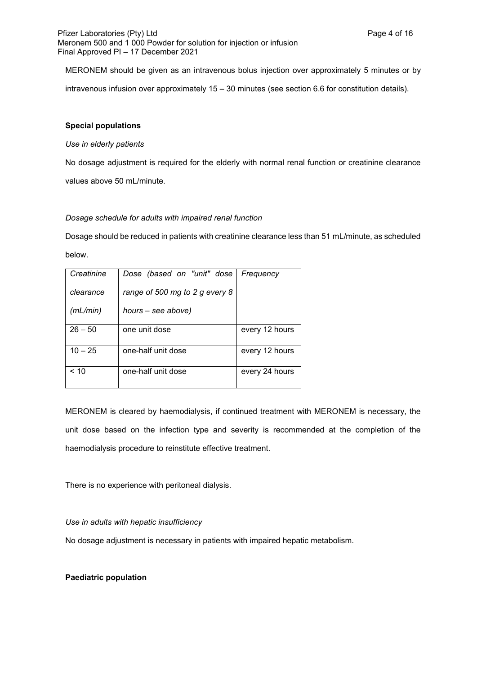MERONEM should be given as an intravenous bolus injection over approximately 5 minutes or by intravenous infusion over approximately 15 – 30 minutes (see section 6.6 for constitution details).

### **Special populations**

### *Use in elderly patients*

No dosage adjustment is required for the elderly with normal renal function or creatinine clearance values above 50 mL/minute.

### *Dosage schedule for adults with impaired renal function*

Dosage should be reduced in patients with creatinine clearance less than 51 mL/minute, as scheduled below.

| Creatinine | Dose (based on "unit" dose     | Frequency      |
|------------|--------------------------------|----------------|
| clearance  | range of 500 mg to 2 g every 8 |                |
| (mL/min)   | hours – see above)             |                |
| $26 - 50$  | one unit dose                  | every 12 hours |
| $10 - 25$  | one-half unit dose             | every 12 hours |
| < 10       | one-half unit dose             | every 24 hours |

MERONEM is cleared by haemodialysis, if continued treatment with MERONEM is necessary, the unit dose based on the infection type and severity is recommended at the completion of the haemodialysis procedure to reinstitute effective treatment.

There is no experience with peritoneal dialysis.

### *Use in adults with hepatic insufficiency*

No dosage adjustment is necessary in patients with impaired hepatic metabolism.

### **Paediatric population**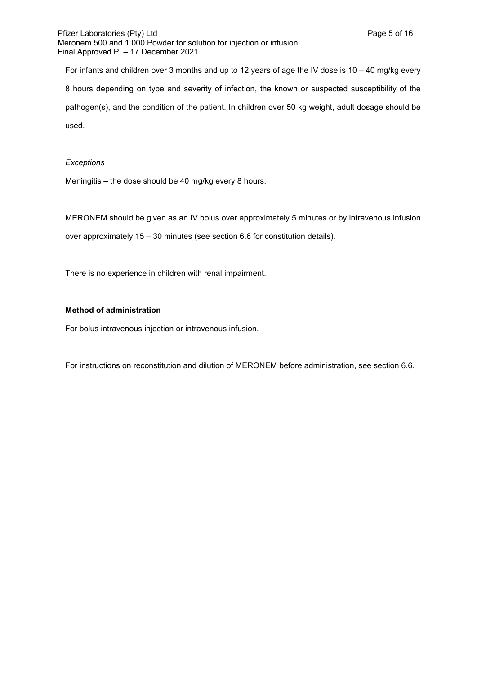For infants and children over 3 months and up to 12 years of age the IV dose is 10 – 40 mg/kg every 8 hours depending on type and severity of infection, the known or suspected susceptibility of the pathogen(s), and the condition of the patient. In children over 50 kg weight, adult dosage should be used.

### *Exceptions*

Meningitis – the dose should be 40 mg/kg every 8 hours.

MERONEM should be given as an IV bolus over approximately 5 minutes or by intravenous infusion over approximately 15 – 30 minutes (see section 6.6 for constitution details).

There is no experience in children with renal impairment.

### **Method of administration**

For bolus intravenous injection or intravenous infusion.

For instructions on reconstitution and dilution of MERONEM before administration, see section 6.6.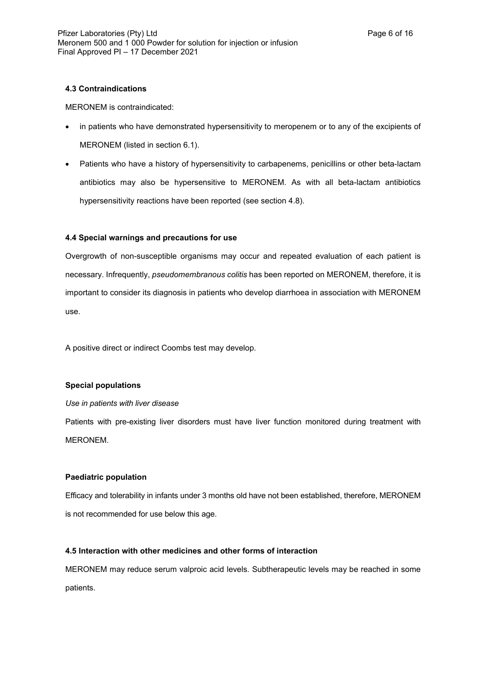### **4.3 Contraindications**

MERONEM is contraindicated:

- in patients who have demonstrated hypersensitivity to meropenem or to any of the excipients of MERONEM (listed in section 6.1).
- Patients who have a history of hypersensitivity to carbapenems, penicillins or other beta-lactam antibiotics may also be hypersensitive to MERONEM. As with all beta-lactam antibiotics hypersensitivity reactions have been reported (see section 4.8).

## **4.4 Special warnings and precautions for use**

Overgrowth of non-susceptible organisms may occur and repeated evaluation of each patient is necessary. Infrequently, *pseudomembranous colitis* has been reported on MERONEM, therefore, it is important to consider its diagnosis in patients who develop diarrhoea in association with MERONEM use.

A positive direct or indirect Coombs test may develop.

## **Special populations**

### *Use in patients with liver disease*

Patients with pre-existing liver disorders must have liver function monitored during treatment with MERONEM.

## **Paediatric population**

Efficacy and tolerability in infants under 3 months old have not been established, therefore, MERONEM is not recommended for use below this age.

## **4.5 Interaction with other medicines and other forms of interaction**

MERONEM may reduce serum valproic acid levels. Subtherapeutic levels may be reached in some patients.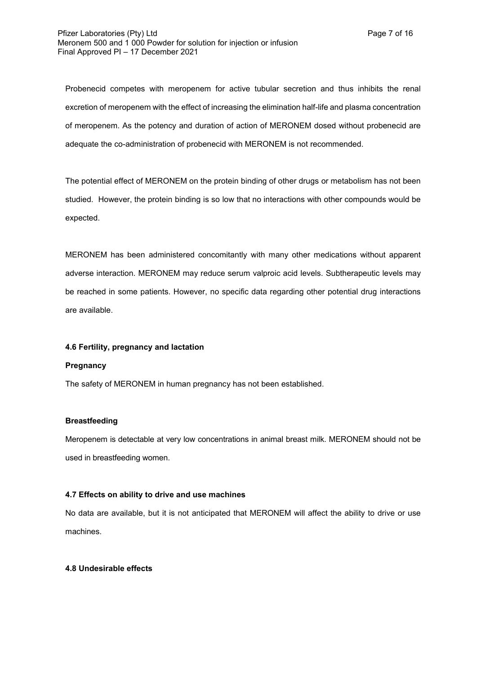Probenecid competes with meropenem for active tubular secretion and thus inhibits the renal excretion of meropenem with the effect of increasing the elimination half-life and plasma concentration of meropenem. As the potency and duration of action of MERONEM dosed without probenecid are adequate the co-administration of probenecid with MERONEM is not recommended.

The potential effect of MERONEM on the protein binding of other drugs or metabolism has not been studied. However, the protein binding is so low that no interactions with other compounds would be expected.

MERONEM has been administered concomitantly with many other medications without apparent adverse interaction. MERONEM may reduce serum valproic acid levels. Subtherapeutic levels may be reached in some patients. However, no specific data regarding other potential drug interactions are available.

### **4.6 Fertility, pregnancy and lactation**

#### **Pregnancy**

The safety of MERONEM in human pregnancy has not been established.

#### **Breastfeeding**

Meropenem is detectable at very low concentrations in animal breast milk. MERONEM should not be used in breastfeeding women.

#### **4.7 Effects on ability to drive and use machines**

No data are available, but it is not anticipated that MERONEM will affect the ability to drive or use machines.

### **4.8 Undesirable effects**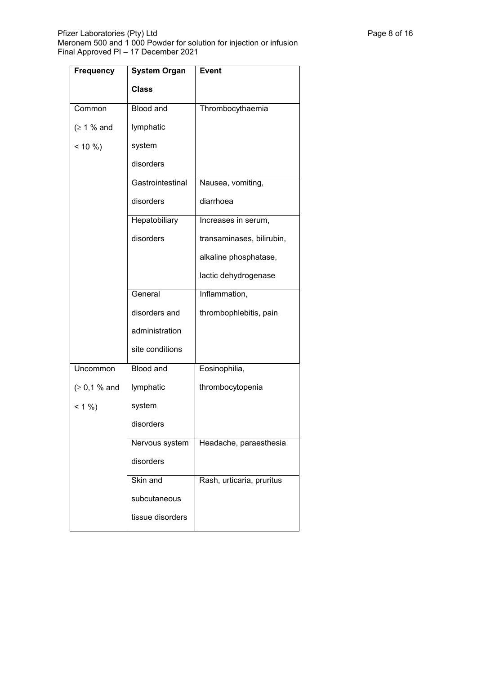| <b>Frequency</b> | <b>System Organ</b> | <b>Event</b>              |
|------------------|---------------------|---------------------------|
|                  | <b>Class</b>        |                           |
| Common           | <b>Blood and</b>    | Thrombocythaemia          |
| (≥ 1 % and       | lymphatic           |                           |
| $< 10 \%$        | system              |                           |
|                  | disorders           |                           |
|                  | Gastrointestinal    | Nausea, vomiting,         |
|                  | disorders           | diarrhoea                 |
|                  | Hepatobiliary       | Increases in serum,       |
|                  | disorders           | transaminases, bilirubin, |
|                  |                     | alkaline phosphatase,     |
|                  |                     | lactic dehydrogenase      |
|                  | General             | Inflammation,             |
|                  | disorders and       | thrombophlebitis, pain    |
|                  | administration      |                           |
|                  | site conditions     |                           |
| Uncommon         | <b>Blood and</b>    | Eosinophilia,             |
| (≥ 0,1 % and )   | lymphatic           | thrombocytopenia          |
| $< 1 \%$         | system              |                           |
|                  | disorders           |                           |
|                  | Nervous system      | Headache, paraesthesia    |
|                  | disorders           |                           |
|                  | Skin and            | Rash, urticaria, pruritus |
|                  | subcutaneous        |                           |
|                  | tissue disorders    |                           |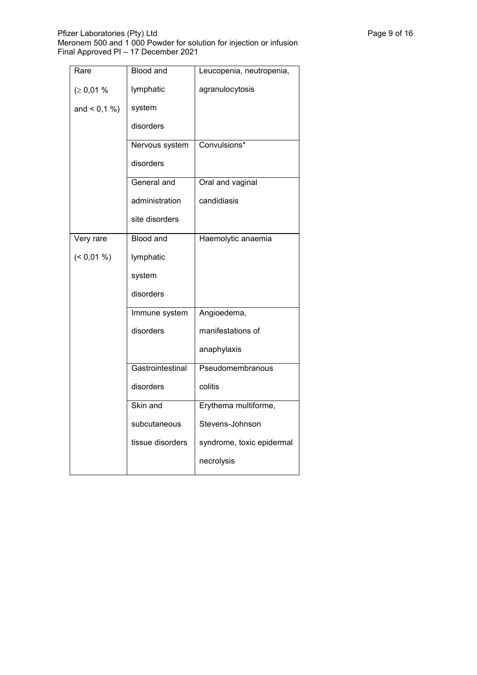| Rare          | <b>Blood and</b> | Leucopenia, neutropenia,  |
|---------------|------------------|---------------------------|
| (≥ 0,01%      | lymphatic        | agranulocytosis           |
| and $< 0.1 %$ | system           |                           |
|               | disorders        |                           |
|               | Nervous system   | Convulsions*              |
|               | disorders        |                           |
|               | General and      | Oral and vaginal          |
|               | administration   | candidiasis               |
|               | site disorders   |                           |
| Very rare     | <b>Blood and</b> | Haemolytic anaemia        |
| $($ < 0,01 %) | lymphatic        |                           |
|               | system           |                           |
|               | disorders        |                           |
|               | Immune system    | Angioedema,               |
|               | disorders        | manifestations of         |
|               |                  | anaphylaxis               |
|               | Gastrointestinal | Pseudomembranous          |
|               | disorders        | colitis                   |
|               | Skin and         | Erythema multiforme,      |
|               | subcutaneous     | Stevens-Johnson           |
|               | tissue disorders | syndrome, toxic epidermal |
|               |                  | necrolysis                |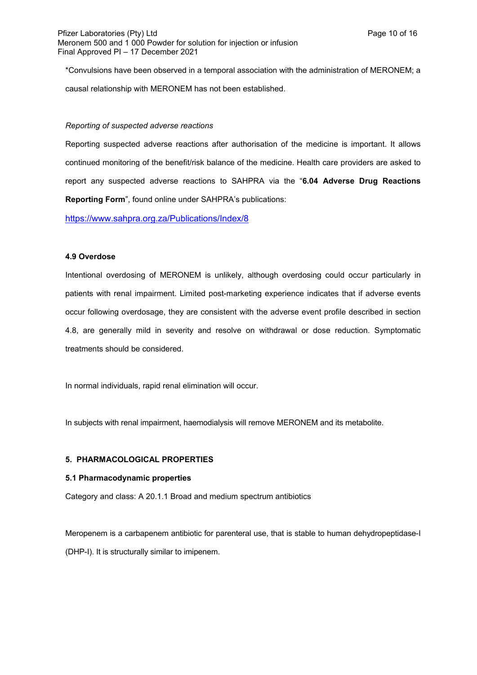\*Convulsions have been observed in a temporal association with the administration of MERONEM; a causal relationship with MERONEM has not been established.

### *Reporting of suspected adverse reactions*

Reporting suspected adverse reactions after authorisation of the medicine is important. It allows continued monitoring of the benefit/risk balance of the medicine. Health care providers are asked to report any suspected adverse reactions to SAHPRA via the "**6.04 Adverse Drug Reactions Reporting Form**", found online under SAHPRA's publications:

<https://www.sahpra.org.za/Publications/Index/8>

### **4.9 Overdose**

Intentional overdosing of MERONEM is unlikely, although overdosing could occur particularly in patients with renal impairment. Limited post-marketing experience indicates that if adverse events occur following overdosage, they are consistent with the adverse event profile described in section 4.8, are generally mild in severity and resolve on withdrawal or dose reduction. Symptomatic treatments should be considered.

In normal individuals, rapid renal elimination will occur.

In subjects with renal impairment, haemodialysis will remove MERONEM and its metabolite.

## **5. PHARMACOLOGICAL PROPERTIES**

### **5.1 Pharmacodynamic properties**

Category and class: A 20.1.1 Broad and medium spectrum antibiotics

Meropenem is a carbapenem antibiotic for parenteral use, that is stable to human dehydropeptidase-I (DHP-I). It is structurally similar to imipenem.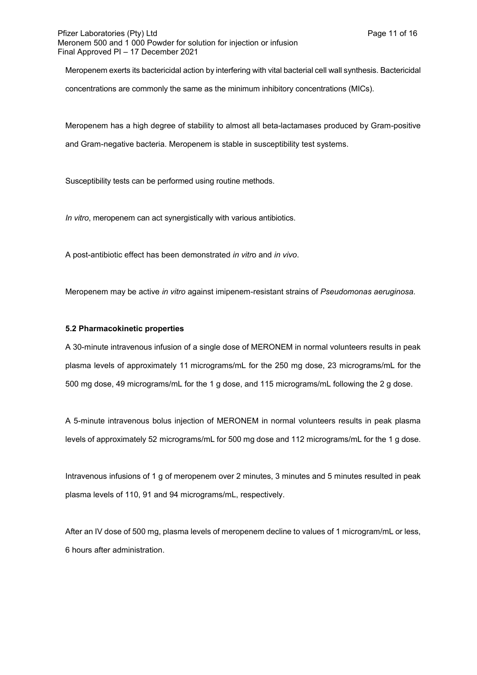Meropenem exerts its bactericidal action by interfering with vital bacterial cell wall synthesis. Bactericidal concentrations are commonly the same as the minimum inhibitory concentrations (MICs).

Meropenem has a high degree of stability to almost all beta-lactamases produced by Gram-positive and Gram-negative bacteria. Meropenem is stable in susceptibility test systems.

Susceptibility tests can be performed using routine methods.

*In vitro*, meropenem can act synergistically with various antibiotics.

A post-antibiotic effect has been demonstrated *in vitr*o and *in vivo*.

Meropenem may be active *in vitro* against imipenem-resistant strains of *Pseudomonas aeruginosa.*

### **5.2 Pharmacokinetic properties**

A 30-minute intravenous infusion of a single dose of MERONEM in normal volunteers results in peak plasma levels of approximately 11 micrograms/mL for the 250 mg dose, 23 micrograms/mL for the 500 mg dose, 49 micrograms/mL for the 1 g dose, and 115 micrograms/mL following the 2 g dose.

A 5-minute intravenous bolus injection of MERONEM in normal volunteers results in peak plasma levels of approximately 52 micrograms/mL for 500 mg dose and 112 micrograms/mL for the 1 g dose.

Intravenous infusions of 1 g of meropenem over 2 minutes, 3 minutes and 5 minutes resulted in peak plasma levels of 110, 91 and 94 micrograms/mL, respectively.

After an IV dose of 500 mg, plasma levels of meropenem decline to values of 1 microgram/mL or less, 6 hours after administration.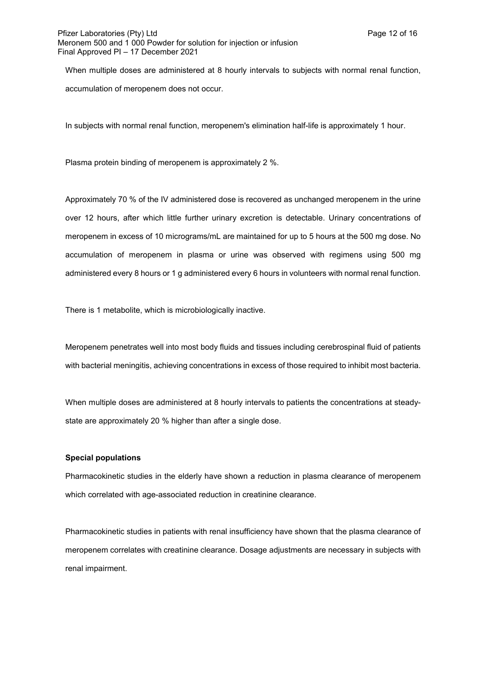When multiple doses are administered at 8 hourly intervals to subjects with normal renal function, accumulation of meropenem does not occur.

In subjects with normal renal function, meropenem's elimination half-life is approximately 1 hour.

Plasma protein binding of meropenem is approximately 2 %.

Approximately 70 % of the IV administered dose is recovered as unchanged meropenem in the urine over 12 hours, after which little further urinary excretion is detectable. Urinary concentrations of meropenem in excess of 10 micrograms/mL are maintained for up to 5 hours at the 500 mg dose. No accumulation of meropenem in plasma or urine was observed with regimens using 500 mg administered every 8 hours or 1 g administered every 6 hours in volunteers with normal renal function.

There is 1 metabolite, which is microbiologically inactive.

Meropenem penetrates well into most body fluids and tissues including cerebrospinal fluid of patients with bacterial meningitis, achieving concentrations in excess of those required to inhibit most bacteria.

When multiple doses are administered at 8 hourly intervals to patients the concentrations at steadystate are approximately 20 % higher than after a single dose.

### **Special populations**

Pharmacokinetic studies in the elderly have shown a reduction in plasma clearance of meropenem which correlated with age-associated reduction in creatinine clearance.

Pharmacokinetic studies in patients with renal insufficiency have shown that the plasma clearance of meropenem correlates with creatinine clearance. Dosage adjustments are necessary in subjects with renal impairment.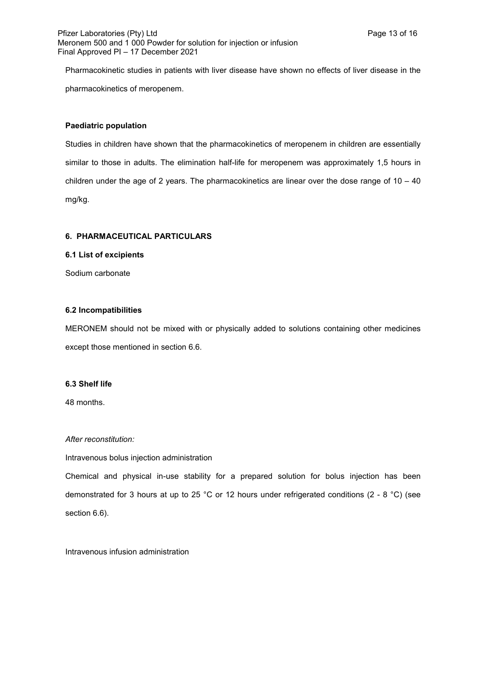Pharmacokinetic studies in patients with liver disease have shown no effects of liver disease in the pharmacokinetics of meropenem.

### **Paediatric population**

Studies in children have shown that the pharmacokinetics of meropenem in children are essentially similar to those in adults. The elimination half-life for meropenem was approximately 1,5 hours in children under the age of 2 years. The pharmacokinetics are linear over the dose range of  $10 - 40$ mg/kg.

### **6. PHARMACEUTICAL PARTICULARS**

**6.1 List of excipients**

Sodium carbonate

### **6.2 Incompatibilities**

MERONEM should not be mixed with or physically added to solutions containing other medicines except those mentioned in section 6.6.

### **6.3 Shelf life**

48 months.

### *After reconstitution:*

Intravenous bolus injection administration

Chemical and physical in-use stability for a prepared solution for bolus injection has been demonstrated for 3 hours at up to 25 °C or 12 hours under refrigerated conditions (2 - 8 °C) (see section 6.6).

Intravenous infusion administration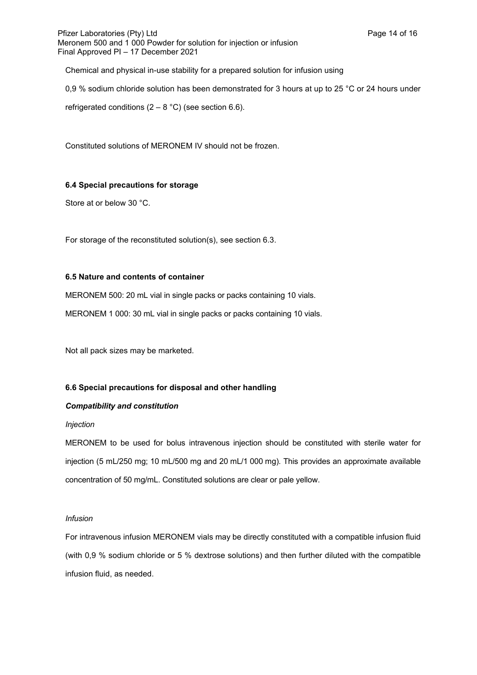Chemical and physical in-use stability for a prepared solution for infusion using

0,9 % sodium chloride solution has been demonstrated for 3 hours at up to 25 °C or 24 hours under

refrigerated conditions  $(2 - 8 °C)$  (see section 6.6).

Constituted solutions of MERONEM IV should not be frozen.

## **6.4 Special precautions for storage**

Store at or below 30 °C.

For storage of the reconstituted solution(s), see section 6.3.

## **6.5 Nature and contents of container**

MERONEM 500: 20 mL vial in single packs or packs containing 10 vials.

MERONEM 1 000: 30 mL vial in single packs or packs containing 10 vials.

Not all pack sizes may be marketed.

## **6.6 Special precautions for disposal and other handling**

## *Compatibility and constitution*

### *Injection*

MERONEM to be used for bolus intravenous injection should be constituted with sterile water for injection (5 mL/250 mg; 10 mL/500 mg and 20 mL/1 000 mg). This provides an approximate available concentration of 50 mg/mL. Constituted solutions are clear or pale yellow.

### *Infusion*

For intravenous infusion MERONEM vials may be directly constituted with a compatible infusion fluid (with 0,9 % sodium chloride or 5 % dextrose solutions) and then further diluted with the compatible infusion fluid, as needed.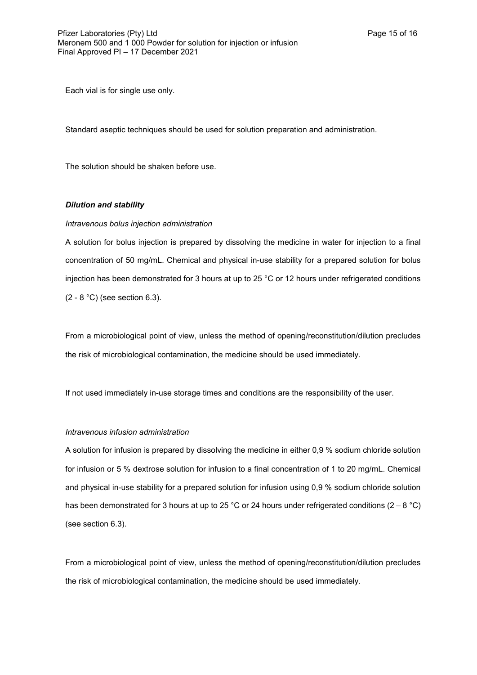Each vial is for single use only.

Standard aseptic techniques should be used for solution preparation and administration.

The solution should be shaken before use.

### *Dilution and stability*

#### *Intravenous bolus injection administration*

A solution for bolus injection is prepared by dissolving the medicine in water for injection to a final concentration of 50 mg/mL. Chemical and physical in-use stability for a prepared solution for bolus injection has been demonstrated for 3 hours at up to 25 °C or 12 hours under refrigerated conditions (2 - 8 °C) (see section 6.3).

From a microbiological point of view, unless the method of opening/reconstitution/dilution precludes the risk of microbiological contamination, the medicine should be used immediately.

If not used immediately in-use storage times and conditions are the responsibility of the user.

#### *Intravenous infusion administration*

A solution for infusion is prepared by dissolving the medicine in either 0,9 % sodium chloride solution for infusion or 5 % dextrose solution for infusion to a final concentration of 1 to 20 mg/mL. Chemical and physical in-use stability for a prepared solution for infusion using 0,9 % sodium chloride solution has been demonstrated for 3 hours at up to 25 °C or 24 hours under refrigerated conditions (2 – 8 °C) (see section 6.3).

From a microbiological point of view, unless the method of opening/reconstitution/dilution precludes the risk of microbiological contamination, the medicine should be used immediately.